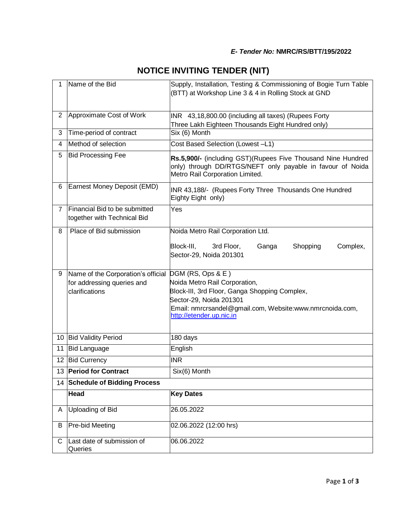| 1              | Name of the Bid                                              | Supply, Installation, Testing & Commissioning of Bogie Turn Table<br>(BTT) at Workshop Line 3 & 4 in Rolling Stock at GND                                     |
|----------------|--------------------------------------------------------------|---------------------------------------------------------------------------------------------------------------------------------------------------------------|
| $\overline{2}$ | Approximate Cost of Work                                     | INR 43,18,800.00 (including all taxes) (Rupees Forty<br>Three Lakh Eighteen Thousands Eight Hundred only)                                                     |
| 3              | Time-period of contract                                      | Six (6) Month                                                                                                                                                 |
| 4              | Method of selection                                          | Cost Based Selection (Lowest -L1)                                                                                                                             |
| 5              | <b>Bid Processing Fee</b>                                    | Rs.5,900/- (including GST)(Rupees Five Thousand Nine Hundred<br>only) through DD/RTGS/NEFT only payable in favour of Noida<br>Metro Rail Corporation Limited. |
| 6              | Earnest Money Deposit (EMD)                                  | INR 43,188/- (Rupees Forty Three Thousands One Hundred<br>Eighty Eight only)                                                                                  |
| $\overline{7}$ | Financial Bid to be submitted<br>together with Technical Bid | Yes                                                                                                                                                           |
| 8              | Place of Bid submission                                      | Noida Metro Rail Corporation Ltd.                                                                                                                             |
|                |                                                              | Block-III,<br>3rd Floor,<br>Ganga<br>Shopping<br>Complex,<br>Sector-29, Noida 201301                                                                          |
| 9              | Name of the Corporation's official DGM (RS, Ops & E)         |                                                                                                                                                               |
|                | for addressing queries and<br>clarifications                 | Noida Metro Rail Corporation,<br>Block-III, 3rd Floor, Ganga Shopping Complex,                                                                                |
|                |                                                              | Sector-29, Noida 201301                                                                                                                                       |
|                |                                                              | Email: nmrcrsandel@gmail.com, Website:www.nmrcnoida.com,<br>http://etender.up.nic.in                                                                          |
|                | 10 Bid Validity Period                                       | 180 days                                                                                                                                                      |
| 11             | <b>Bid Language</b>                                          | English                                                                                                                                                       |
| 12             | <b>Bid Currency</b>                                          | <b>INR</b>                                                                                                                                                    |
|                | 13 Period for Contract                                       | Six(6) Month                                                                                                                                                  |
|                | 14 Schedule of Bidding Process                               |                                                                                                                                                               |
|                | Head                                                         | <b>Key Dates</b>                                                                                                                                              |
| A              | Uploading of Bid                                             | 26.05.2022                                                                                                                                                    |
| B              | Pre-bid Meeting                                              | 02.06.2022 (12:00 hrs)                                                                                                                                        |
| C              | Last date of submission of<br>Queries                        | 06.06.2022                                                                                                                                                    |

## **NOTICE INVITING TENDER (NIT)**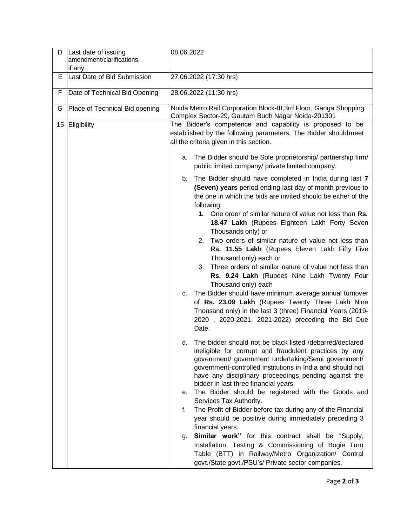| D  | Last date of issuing<br>amendment/clarifications,<br>if any | 08.06.2022                                                                                                                                                                                                                                                                                                                                                                                                                                                                                                                                                                                                                                                                                                                                                                                                                                                                                                                                                                                                                                                                                                                                                                                                                                                                                                                                                                                                                                                                                                                                                                                                                                                                                                                                                               |
|----|-------------------------------------------------------------|--------------------------------------------------------------------------------------------------------------------------------------------------------------------------------------------------------------------------------------------------------------------------------------------------------------------------------------------------------------------------------------------------------------------------------------------------------------------------------------------------------------------------------------------------------------------------------------------------------------------------------------------------------------------------------------------------------------------------------------------------------------------------------------------------------------------------------------------------------------------------------------------------------------------------------------------------------------------------------------------------------------------------------------------------------------------------------------------------------------------------------------------------------------------------------------------------------------------------------------------------------------------------------------------------------------------------------------------------------------------------------------------------------------------------------------------------------------------------------------------------------------------------------------------------------------------------------------------------------------------------------------------------------------------------------------------------------------------------------------------------------------------------|
| Е  | Last Date of Bid Submission                                 | 27.06.2022 (17:30 hrs)                                                                                                                                                                                                                                                                                                                                                                                                                                                                                                                                                                                                                                                                                                                                                                                                                                                                                                                                                                                                                                                                                                                                                                                                                                                                                                                                                                                                                                                                                                                                                                                                                                                                                                                                                   |
| F  | Date of Technical Bid Opening                               | 28.06.2022 (11:30 hrs)                                                                                                                                                                                                                                                                                                                                                                                                                                                                                                                                                                                                                                                                                                                                                                                                                                                                                                                                                                                                                                                                                                                                                                                                                                                                                                                                                                                                                                                                                                                                                                                                                                                                                                                                                   |
| G  | Place of Technical Bid opening                              | Noida Metro Rail Corporation Block-III, 3rd Floor, Ganga Shopping<br>Complex Sector-29, Gautam Budh Nagar Noida-201301                                                                                                                                                                                                                                                                                                                                                                                                                                                                                                                                                                                                                                                                                                                                                                                                                                                                                                                                                                                                                                                                                                                                                                                                                                                                                                                                                                                                                                                                                                                                                                                                                                                   |
| 15 | Eligibility                                                 | The Bidder's competence and capability is proposed to be<br>established by the following parameters. The Bidder shouldmeet<br>all the criteria given in this section.<br>The Bidder should be Sole proprietorship/ partnership firm/<br>а.<br>public limited company/ private limited company.<br>The Bidder should have completed in India during last 7<br>b.<br>(Seven) years period ending last day of month previous to<br>the one in which the bids are invited should be either of the<br>following:<br>1. One order of similar nature of value not less than Rs.<br>18.47 Lakh (Rupees Eighteen Lakh Forty Seven<br>Thousands only) or<br>Two orders of similar nature of value not less than<br>2.<br>Rs. 11.55 Lakh (Rupees Eleven Lakh Fifty Five<br>Thousand only) each or<br>Three orders of similar nature of value not less than<br>3.<br>Rs. 9.24 Lakh (Rupees Nine Lakh Twenty Four<br>Thousand only) each<br>The Bidder should have minimum average annual turnover<br>C.<br>of Rs. 23.09 Lakh (Rupees Twenty Three Lakh Nine<br>Thousand only) in the last 3 (three) Financial Years (2019-<br>2020, 2020-2021, 2021-2022) preceding the Bid Due<br>Date.<br>The bidder should not be black listed /debarred/declared<br>d.<br>ineligible for corrupt and fraudulent practices by any<br>government/ government undertaking/Semi government/<br>government-controlled institutions in India and should not<br>have any disciplinary proceedings pending against the<br>bidder in last three financial years<br>The Bidder should be registered with the Goods and<br>е.<br>Services Tax Authority.<br>The Profit of Bidder before tax during any of the Financial<br>f.<br>year should be positive during immediately preceding 3<br>financial years. |
|    |                                                             | Similar work" for this contract shall be "Supply,<br>g.<br>Installation, Testing & Commissioning of Bogie Turn<br>Table (BTT) in Railway/Metro Organization/ Central<br>govt./State govt./PSU's/ Private sector companies.                                                                                                                                                                                                                                                                                                                                                                                                                                                                                                                                                                                                                                                                                                                                                                                                                                                                                                                                                                                                                                                                                                                                                                                                                                                                                                                                                                                                                                                                                                                                               |